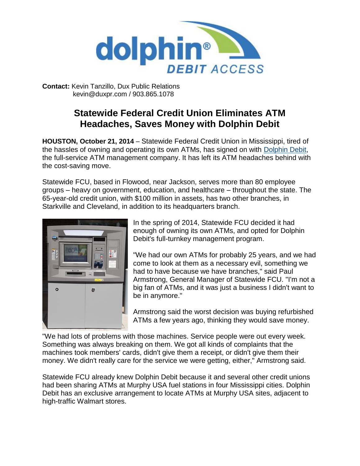

**Contact:** Kevin Tanzillo, Dux Public Relations kevin@duxpr.com / 903.865.1078

## **Statewide Federal Credit Union Eliminates ATM Headaches, Saves Money with Dolphin Debit**

**HOUSTON, October 21, 2014** – Statewide Federal Credit Union in Mississippi, tired of the hassles of owning and operating its own ATMs, has signed on with [Dolphin Debit,](http://www.dolphindebit.com/) the full-service ATM management company. It has left its ATM headaches behind with the cost-saving move.

Statewide FCU, based in Flowood, near Jackson, serves more than 80 employee groups – heavy on government, education, and healthcare – throughout the state. The 65-year-old credit union, with \$100 million in assets, has two other branches, in Starkville and Cleveland, in addition to its headquarters branch.



In the spring of 2014, Statewide FCU decided it had enough of owning its own ATMs, and opted for Dolphin Debit's full-turnkey management program.

"We had our own ATMs for probably 25 years, and we had come to look at them as a necessary evil, something we had to have because we have branches," said Paul Armstrong, General Manager of Statewide FCU. "I'm not a big fan of ATMs, and it was just a business I didn't want to be in anymore."

Armstrong said the worst decision was buying refurbished ATMs a few years ago, thinking they would save money.

"We had lots of problems with those machines. Service people were out every week. Something was always breaking on them. We got all kinds of complaints that the machines took members' cards, didn't give them a receipt, or didn't give them their money. We didn't really care for the service we were getting, either," Armstrong said.

Statewide FCU already knew Dolphin Debit because it and several other credit unions had been sharing ATMs at Murphy USA fuel stations in four Mississippi cities. Dolphin Debit has an exclusive arrangement to locate ATMs at Murphy USA sites, adjacent to high-traffic Walmart stores.